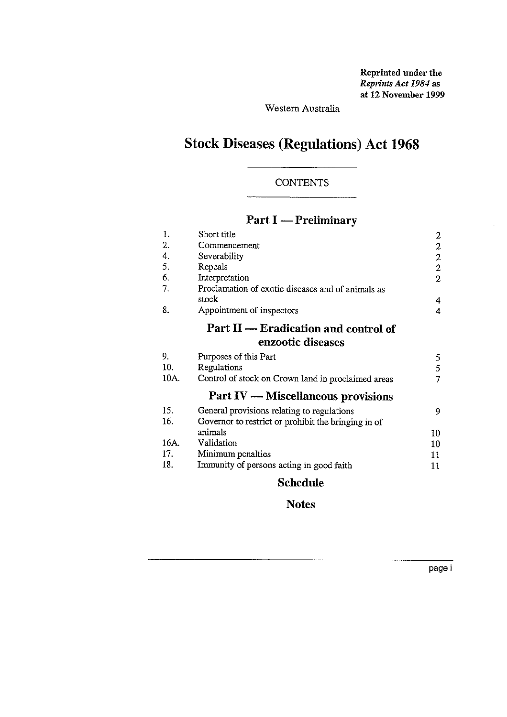Reprinted under the *Reprints Act 1984 as* at 12 November 1999

Western Australia

# Stock Diseases (Regulations) Act 1968

## **CONTENTS**

## Part I — Preliminary

|      | <b>CONTENTS</b>                                     |                                            |
|------|-----------------------------------------------------|--------------------------------------------|
|      |                                                     |                                            |
|      | $Part I - Preliminary$                              |                                            |
| 1.   | Short title                                         |                                            |
| 2.   | Commencement                                        |                                            |
| 4.   | Severability                                        | $\begin{array}{c} 2 \\ 2 \\ 2 \end{array}$ |
| 5.   | Repeals                                             |                                            |
| 6.   | Interpretation                                      | $\overline{2}$                             |
| 7.   | Proclamation of exotic diseases and of animals as   |                                            |
|      | stock                                               | $\overline{4}$                             |
| 8.   | Appointment of inspectors                           | $\overline{4}$                             |
|      | Part $II$ — Eradication and control of              |                                            |
|      | enzootic diseases                                   |                                            |
| 9.   | Purposes of this Part                               | 5                                          |
| 10.  | Regulations                                         | 5                                          |
| 10A. | Control of stock on Crown land in proclaimed areas  | $\overline{7}$                             |
|      | <b>Part IV — Miscellaneous provisions</b>           |                                            |
| 15.  | General provisions relating to regulations          | 9                                          |
| 16.  | Governor to restrict or prohibit the bringing in of |                                            |
|      | animals                                             | 10                                         |
| 16A. | Validation                                          | 10                                         |
| 17.  | Minimum penalties                                   | 11                                         |
| 18.  | Immunity of persons acting in good faith            | 11                                         |
|      | <b>CIII</b>                                         |                                            |

## Schedule

## **Notes**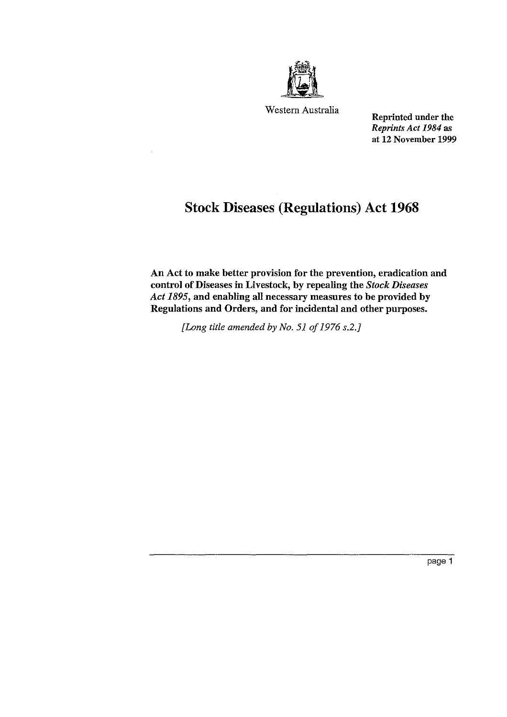

Western Australia

Reprinted under the *Reprints Act 1984 as at* 12 November 1999

## Stock Diseases (Regulations) Act 1968

An Act to make better provision for the prevention, eradication and control of Diseases in Livestock, by repealing the *Stock Diseases Act 1895,* and enabling all necessary measures to be provided by Regulations and Orders, and for incidental and other purposes.

*[Long title amended by No. 51 of 1976 s.2.]*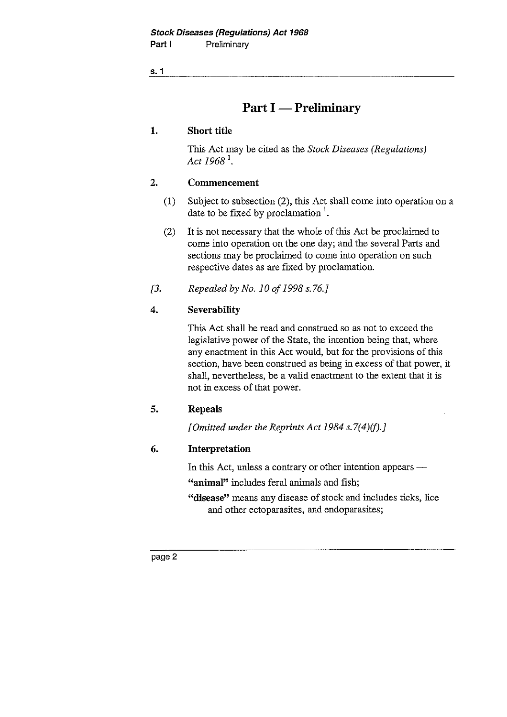## Part I — Preliminary

## 1. Short title

This Act may be cited as the *Stock Diseases (Regulations) Act 1968'.*

## 2. Commencement

- (1) Subject to subsection (2), this Act shall come into operation on a date to be fixed by proclamation  $\frac{1}{1}$ .
- (2) It is not necessary that the whole of this Act be proclaimed to come into operation on the one day; and the several Parts and sections may be proclaimed to come into operation on such respective dates as are fixed by proclamation. Act 1968<sup>1</sup>.<br>
2. **Commencement**<br>
(1) Subject to subsection (2), this Act<br>
date to be fixed by proclamation<sup>1</sup>.<br>
(2) It is not necessary that the whole come into operation on the one da<br>
sections may be proclaimed to cor<br>
r
- 

## 4. Severability

This Act shall be read and construed so as not to exceed the legislative power of the State, the intention being that, where any enactment in this Act would, but for the provisions of this section, have been construed as being in excess of that power, it shall, nevertheless, be a valid enactment to the extent that it is not in excess of that power.

### **5. Repeals**

*[Omitted under the Reprints Act 1984 s.7(4)(f).]*

## **6. Interpretation**

In this Act, unless a contrary or other intention appears —

includes feral animals and fish; *—"animal"* 

"disease" means any disease of stock and includes ticks, lice and other ectoparasites, and endoparasites;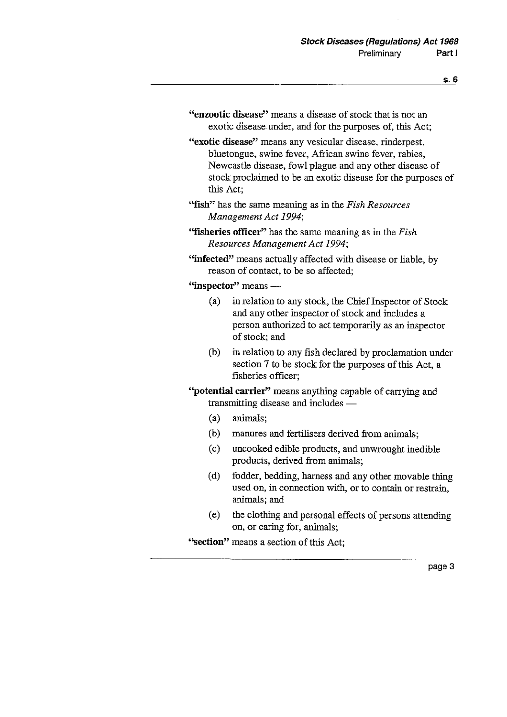- **"enzootic** disease" means a disease of stock that is not an exotic disease under, and for the purposes of, this Act;
- "exotic disease" means any vesicular disease, rinderpest, bluetongue, swine fever, African swine fever, rabies, Newcastle disease, fowl plague and any other disease of stock proclaimed to be an exotic disease for the purposes of this Act;
- "fish" has the same meaning as in the *Fish Resources Management Act 1994;*
- "fisheries officer" has the same meaning as in the *Fish Resources Management Act 1994;*
- "infected" means actually affected with disease or liable, by reason of contact, to be so affected;

"inspector" means —

- (a) in relation to any stock, the Chief Inspector of Stock and any other inspector of stock and includes a person authorized to act temporarily as an inspector of stock; and
- (b) in relation to any fish declared by proclamation under section 7 to be stock for the purposes of this Act, a fisheries officer;
- "potential carrier" means anything capable of carrying and transmitting disease and includes
	- (a) animals;
	- (b) manures and fertilisers derived from animals;
	- (c) uncooked edible products, and unwrought inedible products, derived from animals;
	- (d) fodder, bedding, harness and any other movable thing used on, in connection with, or to contain or restrain, animals; and
	- (e) the clothing and personal effects of persons attending on, or caring for, animals;

"section" means a section of this Act: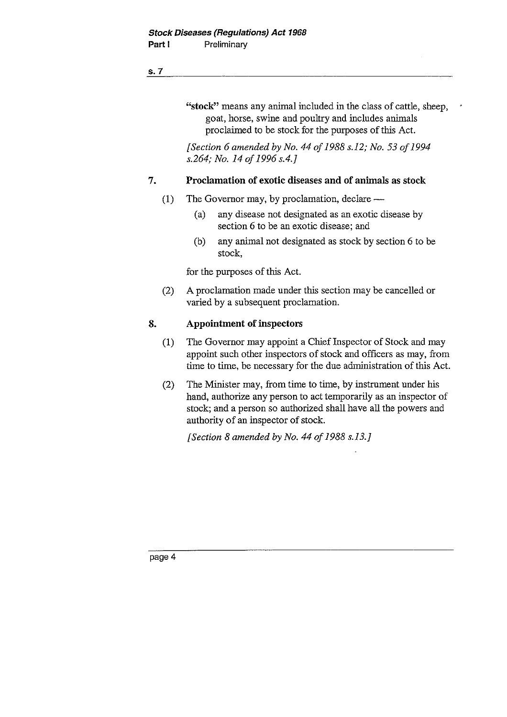"stock" means any animal included in the class of cattle, sheep, goat, horse, swine and poultry and includes animals proclaimed to be stock for the purposes of this Act. **EXECUTE:**<br> **1. CALC SECUTE:**<br> **1. CALC SECUTE:**<br> **1. Proclamation** of exotic diseases and of animals as stock<br> **1. Proclamation** of exotic diseases and of animals as stock<br>
(1) The Governor may, by proclamation,

*[Section 6 amended by No. 44 of 1988 s.12; No. 53 of 1994 s.264; No. 14 of 1996 s.4.]*

- (1) The Governor may, by proclamation, declare
	- (a) any disease not designated as an exotic disease by section 6 to be an exotic disease; and
	- (b) any animal not designated as stock by section 6 to be stock,

for the purposes of this Act.

(2) A proclamation made under this section may be cancelled or varied by a subsequent proclamation.

- **8.** Proclamation of exotic dist<br>
(1) The Governor may, by proc.<br>
(a) any disease not designection 6 to be an exotion 6 to be an exotion 6 to be an exotion.<br>
(b) any animal not designetic stock,<br>
for the purposes of this A (1) The Governor may appoint a Chief Inspector of Stock and may appoint such other inspectors of stock and officers as may, from time to time, be necessary for the due administration of this Act.
	- (2) The Minister may, from time to time, by instrument under his hand, authorize any person to act temporarily as an inspector of stock; and a person so authorized shall have all the powers and authority of an inspector of stock.

*[Section 8 amended by No. 44 of 1988 s.13J*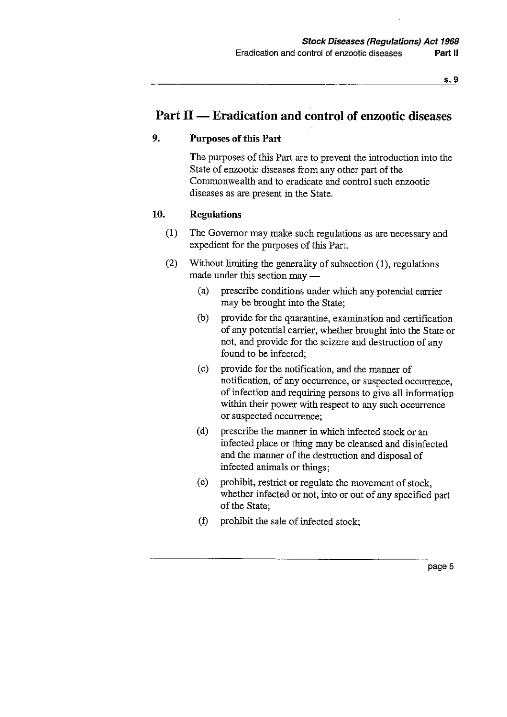## Part II — Eradication and control of enzootic diseases

## **9. Purposes of this Part**

The purposes of this Part are to prevent the introduction into the State of enzootic diseases from any other part of the Commonwealth and to eradicate and control such enzootic diseases as are present in the State.

### **10. Regulations**

- (1) The Governor may make such regulations as are necessary and expedient for the purposes of this Part.
- (2) Without limiting the generality of subsection (1), regulations made under this section may
	- (a) prescribe conditions under which any potential carrier may be brought into the State;
	- (b) provide for the quarantine, examination and certification of any potential carrier, whether brought into the State or not, and provide for the seizure and destruction of any found to be infected;
	- (c) provide for the notification, and the manner of notification, of any occurrence, or suspected occurrence, of infection and requiring persons to give all information within their power with respect to any such occurrence or suspected occurrence;
	- (d) prescribe the manner in which infected stock or an infected place or thing may be cleansed and disinfected and the manner of the destruction and disposal of infected animals or things;
	- (e) prohibit, restrict or regulate the movement of stock, whether infected or not, into or out of any specified part of the State;
	- (f) prohibit the sale of infected stock;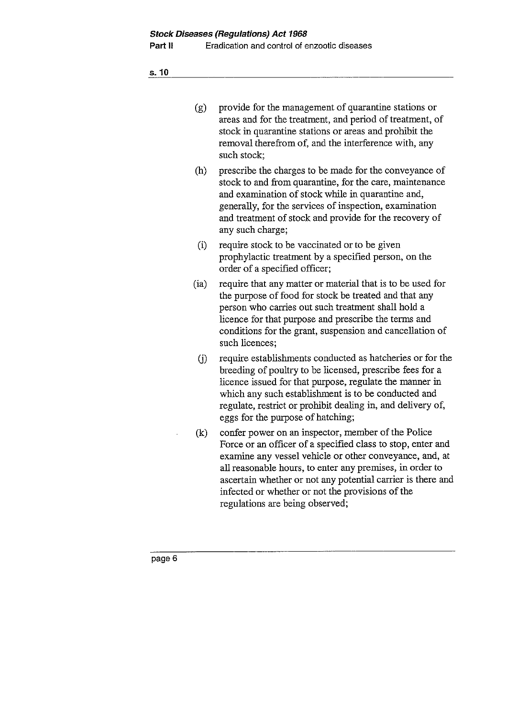| (g) | provide for the management of quarantine stations or     |
|-----|----------------------------------------------------------|
|     | areas and for the treatment, and period of treatment, of |
|     | stock in quarantine stations or areas and prohibit the   |
|     | removal therefrom of, and the interference with, any     |
|     | such stock;                                              |

- (h) prescribe the charges to be made for the conveyance of stock to and from quarantine, for the care, maintenance and examination of stock while in quarantine and, generally, for the services of inspection, examination and treatment of stock and provide for the recovery of any such charge;
- (i) require stock to be vaccinated or to be given prophylactic treatment by a specified person, on the order of a specified officer;
- (ia) require that any matter or material that is to be used for the purpose of food for stock be treated and that any person who carries out such treatment shall hold a licence for that purpose and prescribe the terms and conditions for the grant, suspension and cancellation of such licences;
- (j) require establishments conducted as hatcheries or for the breeding of poultry to be licensed, prescribe fees for a licence issued for that purpose, regulate the manner in which any such establishment is to be conducted and regulate, restrict or prohibit dealing in, and delivery of, eggs for the purpose of hatching;
- (k) confer power on an inspector, member of the Police Force or an officer of a specified class to stop, enter and examine any vessel vehicle or other conveyance, and, at all reasonable hours, to enter any premises, in order to ascertain whether or not any potential carrier is there and infected or whether or not the provisions of the regulations are being observed;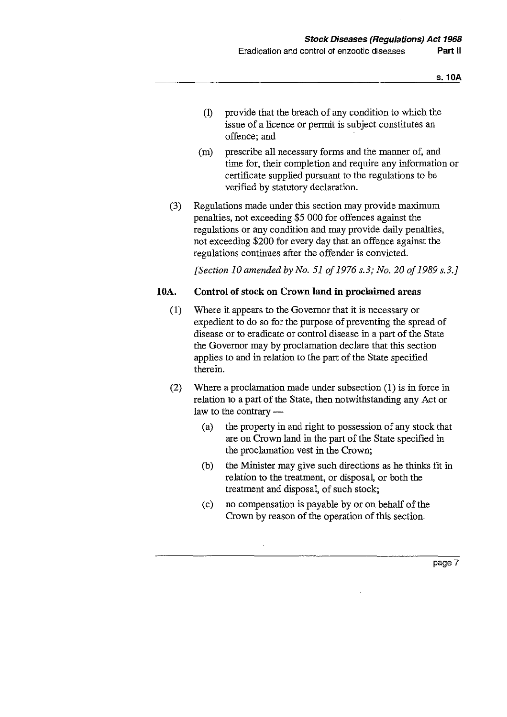- (1) provide that the breach of any condition to which the issue of a licence or permit is subject constitutes an offence; and
- (m) prescribe all necessary forms and the manner of, and time for, their completion and require any information or certificate supplied pursuant to the regulations to be verified by statutory declaration.
- (3) Regulations made under this section may provide maximum penalties, not exceeding \$5 000 for offences against the regulations or any condition and may provide daily penalties, not exceeding \$200 for every day that an offence against the regulations continues after the offender is convicted.

*[Section 10 amended by No. 51 of 1976 s.3; No. 20 of 1989 s.3.]*

### 10A. Control of stock on Crown land in proclaimed areas

- (1) Where it appears to the Governor that it is necessary or expedient to do so for the purpose of preventing the spread of disease or to eradicate or control disease in a part of the State the Governor may by proclamation declare that this section applies to and in relation to the part of the State specified therein.
- (2) Where a proclamation made under subsection (1) is in force in relation to a part of the State, then notwithstanding any Act or law to the contrary
	- (a) the property in and right to possession of any stock that are on Crown land in the part of the State specified in the proclamation vest in the Crown;
	- (b) the Minister may give such directions as he thinks fit in relation to the treatment, or disposal, or both the treatment and disposal, of such stock;
	- (c) no compensation is payable by or on behalf of the Crown by reason of the operation of this section.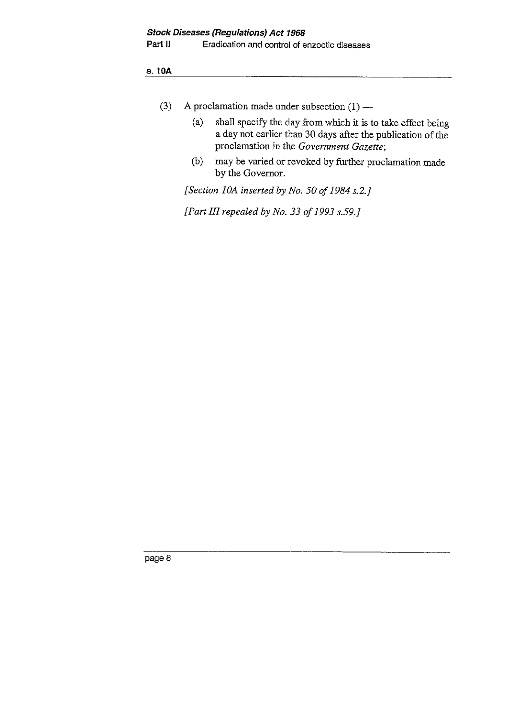Part II Eradication and control of enzootic diseases

s. 10A

- (3) A proclamation made under subsection  $(1)$ 
	- (a) shall specify the day from which it is to take effect being a day not earlier than 30 days after the publication of the proclamation in the *Government Gazette;*
	- (b) may be varied or revoked by further proclamation made by the Governor.

[Section 10A inserted by No. 50 of 1984 s.2.]

*[Part III repealed by No. 33 of 1993 s.59.]*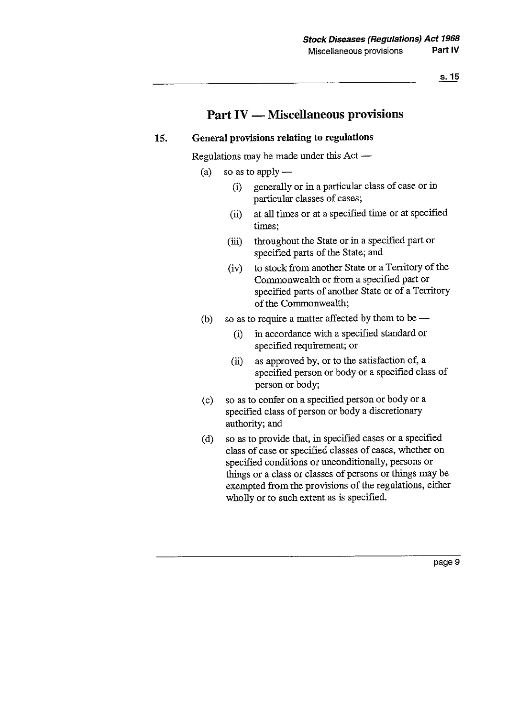## Part IV — Miscellaneous provisions

## 15. General provisions relating to regulations

Regulations may be made under this Act

- (a) so as to apply
	- (i) generally or in a particular class of case or in particular classes of cases;
	- at all times or at a specified time or at specified  $(ii)$ times;
	- throughout the State or in a specified part or  $(iii)$ specified parts of the State; and
	- (iv) to stock from another State or a Territory of the Commonwealth or from a specified part or specified parts of another State or of a Territory of the Commonwealth;
- (b) so as to require a matter affected by them to be
	- (i) in accordance with a specified standard or specified requirement; or
	- as approved by, or to the satisfaction of, a  $(ii)$ specified person or body or a specified class of person or body;
- (c) so as to confer on a specified person or body or a specified class of person or body a discretionary authority; and
- (d) so as to provide that, in specified cases or a specified class of case or specified classes of cases, whether on specified conditions or unconditionally, persons or things or a class or classes of persons or things may be exempted from the provisions of the regulations, either wholly or to such extent as is specified.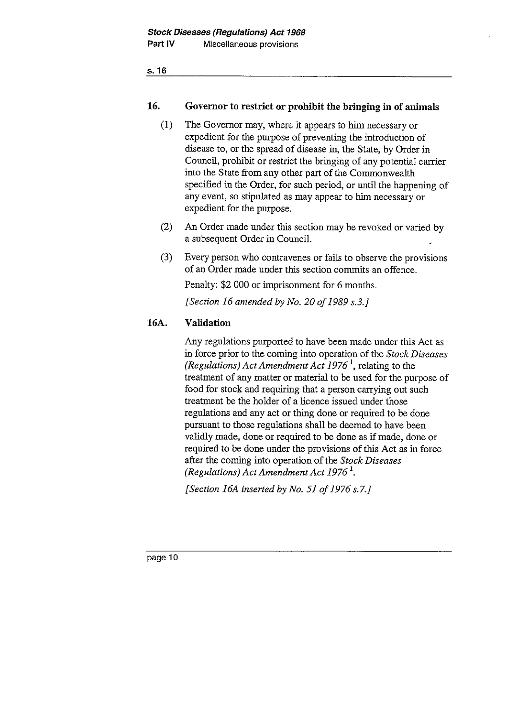## 16. Governor to restrict or prohibit the bringing **in of animals**

- (1) The Governor may, where it appears to him necessary or expedient for the purpose of preventing the introduction of disease to, or the spread of disease in, the State, by Order in Council, prohibit or restrict the bringing of any potential carrier into the State from any other part of the Commonwealth specified in the Order, for such period, or until the happening of any event, so stipulated as may appear to him necessary or expedient for the purpose.
- (2) An Order made under this section may be revoked or varied by a subsequent Order in Council.
- (3) Every person who contravenes or fails to observe the provisions of an Order made under this section commits an offence.

Penalty: \$2 000 or imprisonment for 6 months.

*[Section 16 amended by No. 20 of 1989 s.3.]*

## 16A. Validation

Any regulations purported to have been made under this Act as in force prior to the coming into operation of the *Stock Diseases (Regulations) Act Amendment Act 1976 <sup>1</sup> ,* relating to the treatment of any matter or material to be used for the purpose of food for stock and requiring that a person carrying out such treatment be the holder of a licence issued under those regulations and any act or thing done or required to be done pursuant to those regulations shall be deemed to have been validly made, done or required to be done as if made, done or required to be done under the provisions of this Act as in force after the coming into operation of the *Stock Diseases (Regulations) Act Amendment Act 1976<sup>1</sup>.* 

*[Section 16A inserted by No. 51 of 1976 s.7.]*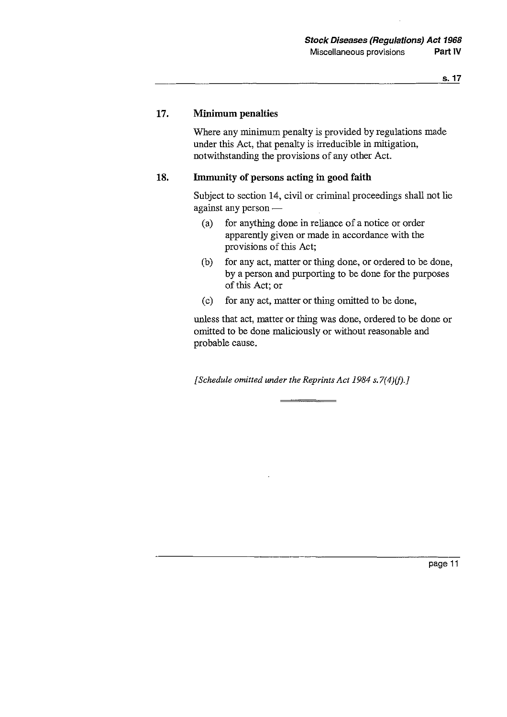### **17. Minimum penalties**

Where any minimum penalty is provided by regulations made under this Act, that penalty is irreducible in mitigation, notwithstanding the provisions of any other Act.

### **18. Immunity of persons acting in** good faith

Subject to section 14, civil or criminal proceedings shall not lie against any person

- (a) for anything done in reliance of a notice or order apparently given or made in accordance with the provisions of this Act;
- (b) for any act, matter or thing done, or ordered to be done, by a person and purporting to be done for the purposes of this Act; or
- (c) for any act, matter or thing omitted to be done,

unless that act, matter or thing was done, ordered to be done or omitted to be done maliciously or without reasonable and probable cause.

*[Schedule omitted under the Reprints Act 1984 s.7(4)(f).]*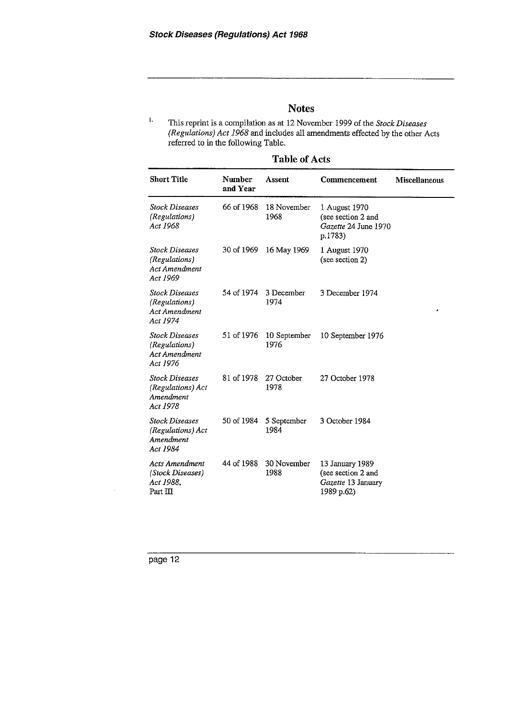## **Notes**

| <b>Table of Acts</b> |  |
|----------------------|--|
|----------------------|--|

| <b>Notes</b><br>1.<br>This reprint is a compilation as at 12 November 1999 of the Stock Diseases<br>(Regulations) Act 1968 and includes all amendments effected by the other Acts<br>referred to in the following Table. |                    |                                |                                                                           |                      |  |  |  |  |
|--------------------------------------------------------------------------------------------------------------------------------------------------------------------------------------------------------------------------|--------------------|--------------------------------|---------------------------------------------------------------------------|----------------------|--|--|--|--|
| <b>Short Title</b>                                                                                                                                                                                                       | Number<br>and Year | <b>Table of Acts</b><br>Assent | Commencement                                                              | <b>Miscellaneous</b> |  |  |  |  |
| <b>Stock Diseases</b><br>(Regulations)<br>Act 1968                                                                                                                                                                       | 66 of 1968         | 18 November<br>1968            | 1 August 1970<br>(see section 2 and<br>Gazette 24 June 1970<br>p.1783)    |                      |  |  |  |  |
| Stock Diseases<br>(Regulations)<br>Act Amendment<br>Act 1969                                                                                                                                                             | 30 of 1969         | 16 May 1969                    | 1 August 1970<br>(see section 2)                                          |                      |  |  |  |  |
| Stock Diseases<br>(Regulations)<br>Act Amendment<br>Act 1974                                                                                                                                                             | 54 of 1974         | 3 December<br>1974             | 3 December 1974                                                           |                      |  |  |  |  |
| <b>Stock Diseases</b><br>(Regulations)<br>Act Amendment<br>Act 1976                                                                                                                                                      | 51 of 1976         | 10 September<br>1976           | 10 September 1976                                                         |                      |  |  |  |  |
| <b>Stock Diseases</b><br>(Regulations) Act<br>Amendment<br>Act 1978                                                                                                                                                      | 81 of 1978         | 27 October<br>1978             | 27 October 1978                                                           |                      |  |  |  |  |
| <b>Stock Diseases</b><br>(Regulations) Act<br>Amendment<br>Act 1984                                                                                                                                                      | 50 of 1984         | 5 September<br>1984            | 3 October 1984                                                            |                      |  |  |  |  |
| <b>Acts Amendment</b><br>(Stock Diseases)<br>Act 1988,<br>Part III                                                                                                                                                       | 44 of 1988         | 30 November<br>1988            | 13 January 1989<br>(see section 2 and<br>Gazette 13 January<br>1989 p.62) |                      |  |  |  |  |

page 12

 $\overline{a}$